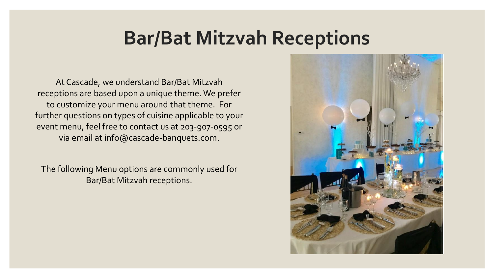# **Bar/Bat Mitzvah Receptions**

At Cascade, we understand Bar/Bat Mitzvah receptions are based upon a unique theme. We prefer to customize your menu around that theme. For further questions on types of cuisine applicable to your event menu, feel free to contact us at 203-907-0595 or via email at info@cascade-banquets.com.

The following Menu options are commonly used for Bar/Bat Mitzvah receptions.

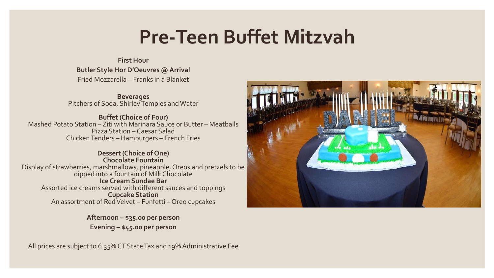# **Pre-Teen Buffet Mitzvah**

## **First Hour Butler Style Hor D'Oeuvres @ Arrival** Fried Mozzarella – Franks in a Blanket

**Beverages** Pitchers of Soda, Shirley Temples and Water

**Buffet (Choice of Four)** Mashed Potato Station – Ziti with Marinara Sauce or Butter – Meatballs Pizza Station – Caesar Salad Chicken Tenders – Hamburgers – French Fries

**Dessert (Choice of One) Chocolate Fountain** Display of strawberries, marshmallows, pineapple, Oreos and pretzels to be dipped into a fountain of Milk Chocolate **Ice Cream Sundae Bar** Assorted ice creams served with different sauces and toppings **Cupcake Station** An assortment of Red Velvet – Funfetti – Oreo cupcakes

> **Afternoon – \$35.00 per person Evening – \$45.00 per person**

All prices are subject to 6.35% CT State Tax and 19% Administrative Fee

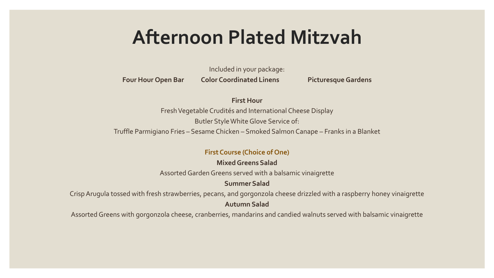# **Afternoon Plated Mitzvah**

Included in your package:

**Four Hour Open Bar Color Coordinated Linens Picturesque Gardens**

**First Hour**

Fresh Vegetable Crudités and International Cheese Display

Butler Style White Glove Service of:

Truffle Parmigiano Fries – Sesame Chicken – Smoked Salmon Canape – Franks in a Blanket

#### **First Course (Choice of One)**

**Mixed Greens Salad**

Assorted Garden Greens served with a balsamic vinaigrette

**Summer Salad**

Crisp Arugula tossed with fresh strawberries, pecans, and gorgonzola cheese drizzled with a raspberry honey vinaigrette **Autumn Salad**

Assorted Greens with gorgonzola cheese, cranberries, mandarins and candied walnuts served with balsamic vinaigrette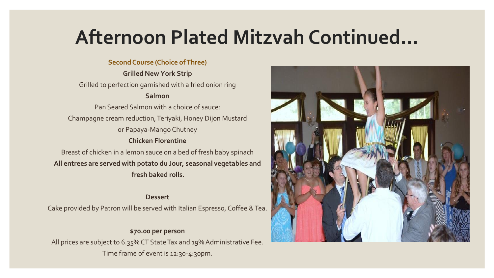# **Afternoon Plated Mitzvah Continued…**

### **Second Course (Choice of Three)**

**Grilled New York Strip** Grilled to perfection garnished with a fried onion ring **Salmon**  Pan Seared Salmon with a choice of sauce: Champagne cream reduction, Teriyaki, Honey Dijon Mustard or Papaya-Mango Chutney **Chicken Florentine** Breast of chicken in a lemon sauce on a bed of fresh baby spinach **All entrees are served with potato du Jour, seasonal vegetables and fresh baked rolls.**

### **Dessert**

Cake provided by Patron will be served with Italian Espresso, Coffee & Tea.

### **\$70.00 per person**

All prices are subject to 6.35% CT State Tax and 19% Administrative Fee. Time frame of event is 12:30-4:30pm.

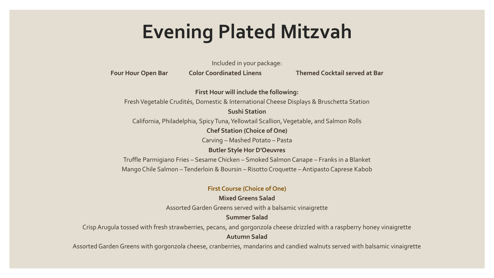# **Evening Plated Mitzvah**

Included in your package:

**Four Hour Open Bar Color Coordinated Linens Themed Cocktail served at Bar**

**First Hour will include the following:** Fresh Vegetable Crudités, Domestic & International Cheese Displays & Bruschetta Station **Sushi Station**

California, Philadelphia, Spicy Tuna, Yellowtail Scallion, Vegetable, and Salmon Rolls

**Chef Station (Choice of One)**

Carving – Mashed Potato – Pasta

**Butler Style Hor D'Oeuvres**

Truffle Parmigiano Fries – Sesame Chicken – Smoked Salmon Canape – Franks in a Blanket Mango Chile Salmon – Tenderloin & Boursin – Risotto Croquette – Antipasto Caprese Kabob

#### **First Course (Choice of One)**

### **Mixed Greens Salad**

Assorted Garden Greens served with a balsamic vinaigrette

### **Summer Salad**

Crisp Arugula tossed with fresh strawberries, pecans, and gorgonzola cheese drizzled with a raspberry honey vinaigrette **Autumn Salad**

Assorted Garden Greens with gorgonzola cheese, cranberries, mandarins and candied walnuts served with balsamic vinaigrette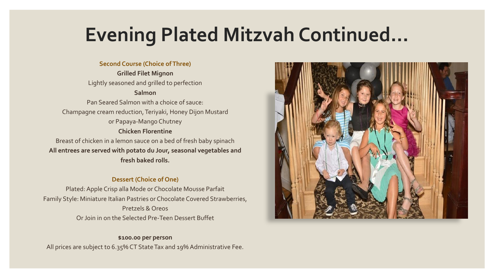# **Evening Plated Mitzvah Continued…**

#### **Second Course (Choice of Three)**

**Grilled Filet Mignon** Lightly seasoned and grilled to perfection **Salmon**  Pan Seared Salmon with a choice of sauce: Champagne cream reduction, Teriyaki, Honey Dijon Mustard or Papaya-Mango Chutney

#### **Chicken Florentine**

Breast of chicken in a lemon sauce on a bed of fresh baby spinach **All entrees are served with potato du Jour, seasonal vegetables and fresh baked rolls.**

#### **Dessert (Choice of One)**

Plated: Apple Crisp alla Mode or Chocolate Mousse Parfait Family Style: Miniature Italian Pastries or Chocolate Covered Strawberries, Pretzels & Oreos Or Join in on the Selected Pre-Teen Dessert Buffet

#### **\$100.00 per person**

All prices are subject to 6.35% CT State Tax and 19% Administrative Fee.